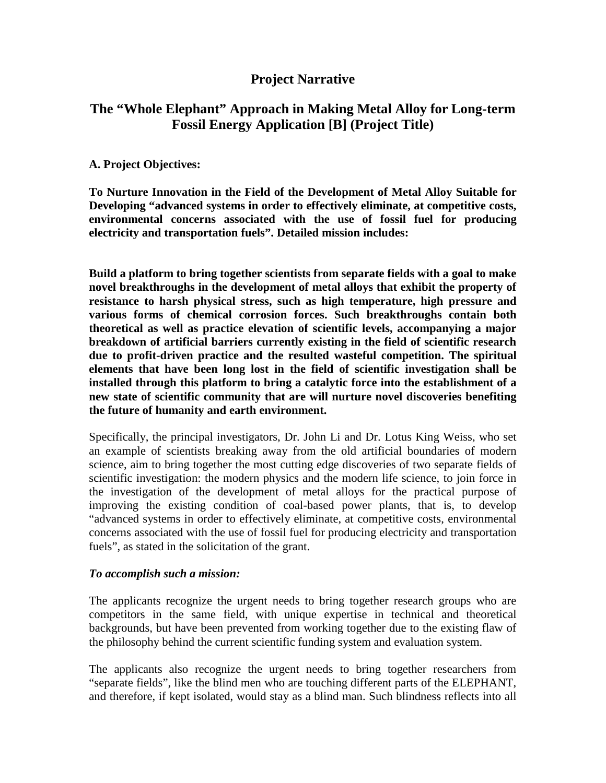# **Project Narrative**

# **The "Whole Elephant" Approach in Making Metal Alloy for Long-term Fossil Energy Application [B] (Project Title)**

### **A. Project Objectives:**

**To Nurture Innovation in the Field of the Development of Metal Alloy Suitable for Developing "advanced systems in order to effectively eliminate, at competitive costs, environmental concerns associated with the use of fossil fuel for producing electricity and transportation fuels". Detailed mission includes:**

**Build a platform to bring together scientists from separate fields with a goal to make novel breakthroughs in the development of metal alloys that exhibit the property of resistance to harsh physical stress, such as high temperature, high pressure and various forms of chemical corrosion forces. Such breakthroughs contain both theoretical as well as practice elevation of scientific levels, accompanying a major breakdown of artificial barriers currently existing in the field of scientific research due to profit-driven practice and the resulted wasteful competition. The spiritual elements that have been long lost in the field of scientific investigation shall be installed through this platform to bring a catalytic force into the establishment of a new state of scientific community that are will nurture novel discoveries benefiting the future of humanity and earth environment.**

Specifically, the principal investigators, Dr. John Li and Dr. Lotus King Weiss, who set an example of scientists breaking away from the old artificial boundaries of modern science, aim to bring together the most cutting edge discoveries of two separate fields of scientific investigation: the modern physics and the modern life science, to join force in the investigation of the development of metal alloys for the practical purpose of improving the existing condition of coal-based power plants, that is, to develop "advanced systems in order to effectively eliminate, at competitive costs, environmental concerns associated with the use of fossil fuel for producing electricity and transportation fuels", as stated in the solicitation of the grant.

#### *To accomplish such a mission:*

The applicants recognize the urgent needs to bring together research groups who are competitors in the same field, with unique expertise in technical and theoretical backgrounds, but have been prevented from working together due to the existing flaw of the philosophy behind the current scientific funding system and evaluation system.

The applicants also recognize the urgent needs to bring together researchers from "separate fields", like the blind men who are touching different parts of the ELEPHANT, and therefore, if kept isolated, would stay as a blind man. Such blindness reflects into all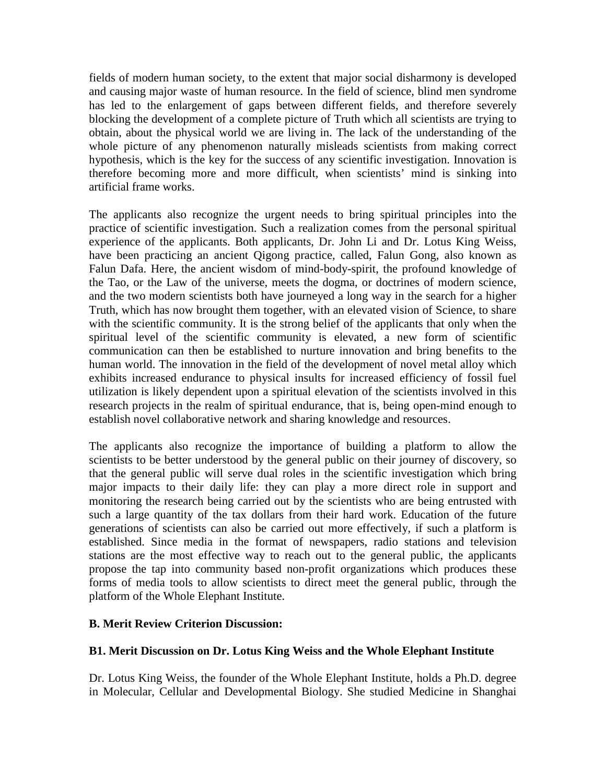fields of modern human society, to the extent that major social disharmony is developed and causing major waste of human resource. In the field of science, blind men syndrome has led to the enlargement of gaps between different fields, and therefore severely blocking the development of a complete picture of Truth which all scientists are trying to obtain, about the physical world we are living in. The lack of the understanding of the whole picture of any phenomenon naturally misleads scientists from making correct hypothesis, which is the key for the success of any scientific investigation. Innovation is therefore becoming more and more difficult, when scientists' mind is sinking into artificial frame works.

The applicants also recognize the urgent needs to bring spiritual principles into the practice of scientific investigation. Such a realization comes from the personal spiritual experience of the applicants. Both applicants, Dr. John Li and Dr. Lotus King Weiss, have been practicing an ancient Qigong practice, called, Falun Gong, also known as Falun Dafa. Here, the ancient wisdom of mind-body-spirit, the profound knowledge of the Tao, or the Law of the universe, meets the dogma, or doctrines of modern science, and the two modern scientists both have journeyed a long way in the search for a higher Truth, which has now brought them together, with an elevated vision of Science, to share with the scientific community. It is the strong belief of the applicants that only when the spiritual level of the scientific community is elevated, a new form of scientific communication can then be established to nurture innovation and bring benefits to the human world. The innovation in the field of the development of novel metal alloy which exhibits increased endurance to physical insults for increased efficiency of fossil fuel utilization is likely dependent upon a spiritual elevation of the scientists involved in this research projects in the realm of spiritual endurance, that is, being open-mind enough to establish novel collaborative network and sharing knowledge and resources.

The applicants also recognize the importance of building a platform to allow the scientists to be better understood by the general public on their journey of discovery, so that the general public will serve dual roles in the scientific investigation which bring major impacts to their daily life: they can play a more direct role in support and monitoring the research being carried out by the scientists who are being entrusted with such a large quantity of the tax dollars from their hard work. Education of the future generations of scientists can also be carried out more effectively, if such a platform is established. Since media in the format of newspapers, radio stations and television stations are the most effective way to reach out to the general public, the applicants propose the tap into community based non-profit organizations which produces these forms of media tools to allow scientists to direct meet the general public, through the platform of the Whole Elephant Institute.

## **B. Merit Review Criterion Discussion:**

## **B1. Merit Discussion on Dr. Lotus King Weiss and the Whole Elephant Institute**

Dr. Lotus King Weiss, the founder of the Whole Elephant Institute, holds a Ph.D. degree in Molecular, Cellular and Developmental Biology. She studied Medicine in Shanghai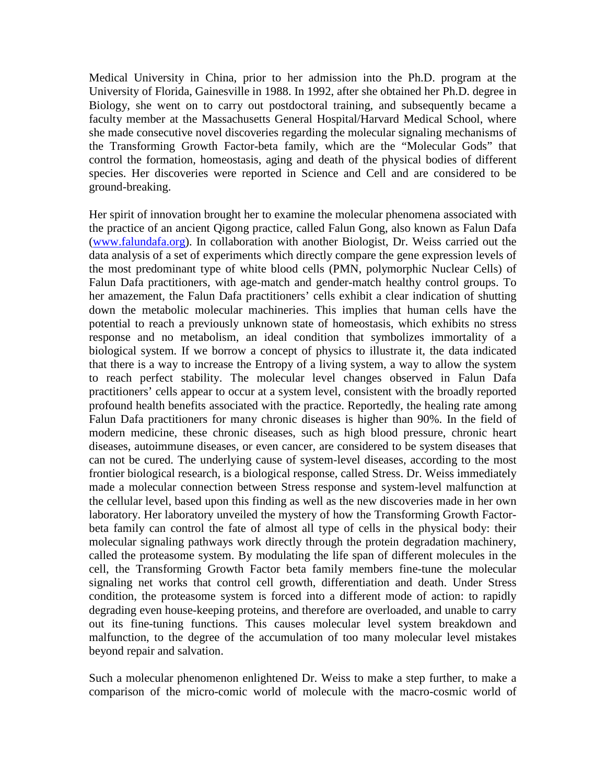Medical University in China, prior to her admission into the Ph.D. program at the University of Florida, Gainesville in 1988. In 1992, after she obtained her Ph.D. degree in Biology, she went on to carry out postdoctoral training, and subsequently became a faculty member at the Massachusetts General Hospital/Harvard Medical School, where she made consecutive novel discoveries regarding the molecular signaling mechanisms of the Transforming Growth Factor-beta family, which are the "Molecular Gods" that control the formation, homeostasis, aging and death of the physical bodies of different species. Her discoveries were reported in Science and Cell and are considered to be ground-breaking.

Her spirit of innovation brought her to examine the molecular phenomena associated with the practice of an ancient Qigong practice, called Falun Gong, also known as Falun Dafa [\(www.falundafa.org\)](http://www.falundafa.org/). In collaboration with another Biologist, Dr. Weiss carried out the data analysis of a set of experiments which directly compare the gene expression levels of the most predominant type of white blood cells (PMN, polymorphic Nuclear Cells) of Falun Dafa practitioners, with age-match and gender-match healthy control groups. To her amazement, the Falun Dafa practitioners' cells exhibit a clear indication of shutting down the metabolic molecular machineries. This implies that human cells have the potential to reach a previously unknown state of homeostasis, which exhibits no stress response and no metabolism, an ideal condition that symbolizes immortality of a biological system. If we borrow a concept of physics to illustrate it, the data indicated that there is a way to increase the Entropy of a living system, a way to allow the system to reach perfect stability. The molecular level changes observed in Falun Dafa practitioners' cells appear to occur at a system level, consistent with the broadly reported profound health benefits associated with the practice. Reportedly, the healing rate among Falun Dafa practitioners for many chronic diseases is higher than 90%. In the field of modern medicine, these chronic diseases, such as high blood pressure, chronic heart diseases, autoimmune diseases, or even cancer, are considered to be system diseases that can not be cured. The underlying cause of system-level diseases, according to the most frontier biological research, is a biological response, called Stress. Dr. Weiss immediately made a molecular connection between Stress response and system-level malfunction at the cellular level, based upon this finding as well as the new discoveries made in her own laboratory. Her laboratory unveiled the mystery of how the Transforming Growth Factorbeta family can control the fate of almost all type of cells in the physical body: their molecular signaling pathways work directly through the protein degradation machinery, called the proteasome system. By modulating the life span of different molecules in the cell, the Transforming Growth Factor beta family members fine-tune the molecular signaling net works that control cell growth, differentiation and death. Under Stress condition, the proteasome system is forced into a different mode of action: to rapidly degrading even house-keeping proteins, and therefore are overloaded, and unable to carry out its fine-tuning functions. This causes molecular level system breakdown and malfunction, to the degree of the accumulation of too many molecular level mistakes beyond repair and salvation.

Such a molecular phenomenon enlightened Dr. Weiss to make a step further, to make a comparison of the micro-comic world of molecule with the macro-cosmic world of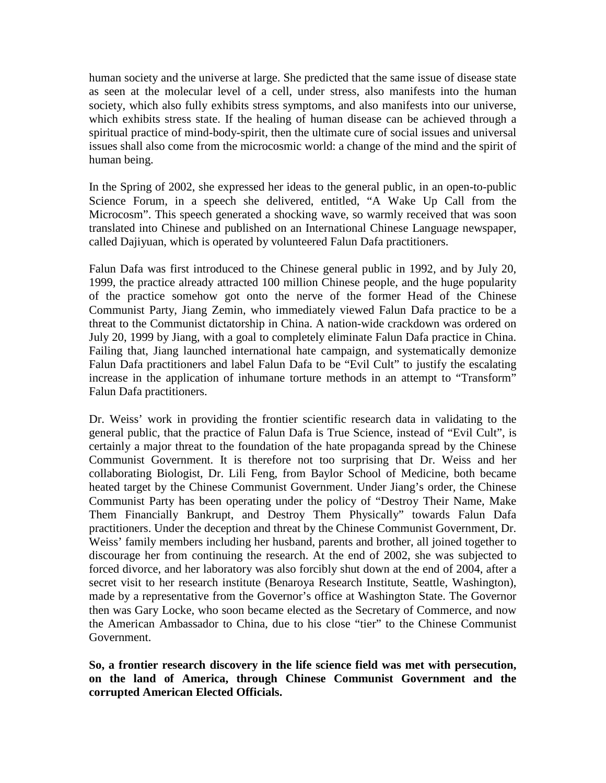human society and the universe at large. She predicted that the same issue of disease state as seen at the molecular level of a cell, under stress, also manifests into the human society, which also fully exhibits stress symptoms, and also manifests into our universe, which exhibits stress state. If the healing of human disease can be achieved through a spiritual practice of mind-body-spirit, then the ultimate cure of social issues and universal issues shall also come from the microcosmic world: a change of the mind and the spirit of human being.

In the Spring of 2002, she expressed her ideas to the general public, in an open-to-public Science Forum, in a speech she delivered, entitled, "A Wake Up Call from the Microcosm". This speech generated a shocking wave, so warmly received that was soon translated into Chinese and published on an International Chinese Language newspaper, called Dajiyuan, which is operated by volunteered Falun Dafa practitioners.

Falun Dafa was first introduced to the Chinese general public in 1992, and by July 20, 1999, the practice already attracted 100 million Chinese people, and the huge popularity of the practice somehow got onto the nerve of the former Head of the Chinese Communist Party, Jiang Zemin, who immediately viewed Falun Dafa practice to be a threat to the Communist dictatorship in China. A nation-wide crackdown was ordered on July 20, 1999 by Jiang, with a goal to completely eliminate Falun Dafa practice in China. Failing that, Jiang launched international hate campaign, and systematically demonize Falun Dafa practitioners and label Falun Dafa to be "Evil Cult" to justify the escalating increase in the application of inhumane torture methods in an attempt to "Transform" Falun Dafa practitioners.

Dr. Weiss' work in providing the frontier scientific research data in validating to the general public, that the practice of Falun Dafa is True Science, instead of "Evil Cult", is certainly a major threat to the foundation of the hate propaganda spread by the Chinese Communist Government. It is therefore not too surprising that Dr. Weiss and her collaborating Biologist, Dr. Lili Feng, from Baylor School of Medicine, both became heated target by the Chinese Communist Government. Under Jiang's order, the Chinese Communist Party has been operating under the policy of "Destroy Their Name, Make Them Financially Bankrupt, and Destroy Them Physically" towards Falun Dafa practitioners. Under the deception and threat by the Chinese Communist Government, Dr. Weiss' family members including her husband, parents and brother, all joined together to discourage her from continuing the research. At the end of 2002, she was subjected to forced divorce, and her laboratory was also forcibly shut down at the end of 2004, after a secret visit to her research institute (Benaroya Research Institute, Seattle, Washington), made by a representative from the Governor's office at Washington State. The Governor then was Gary Locke, who soon became elected as the Secretary of Commerce, and now the American Ambassador to China, due to his close "tier" to the Chinese Communist Government.

**So, a frontier research discovery in the life science field was met with persecution, on the land of America, through Chinese Communist Government and the corrupted American Elected Officials.**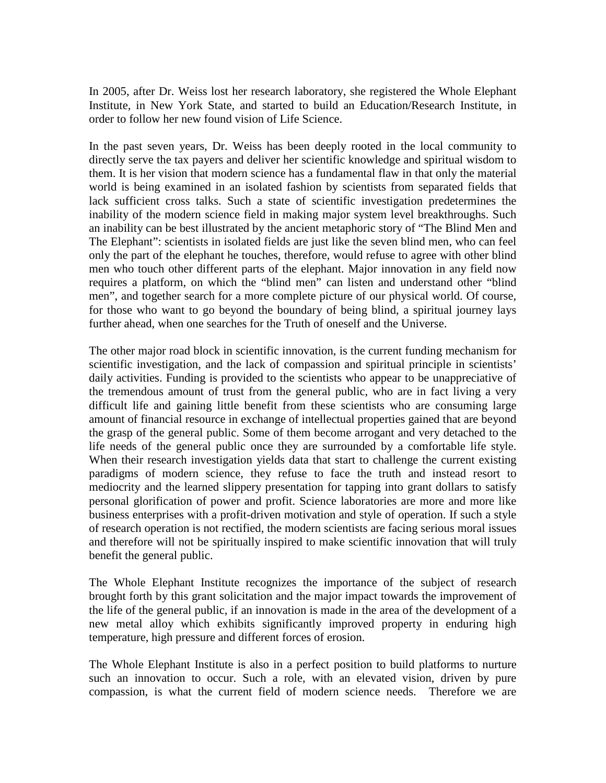In 2005, after Dr. Weiss lost her research laboratory, she registered the Whole Elephant Institute, in New York State, and started to build an Education/Research Institute, in order to follow her new found vision of Life Science.

In the past seven years, Dr. Weiss has been deeply rooted in the local community to directly serve the tax payers and deliver her scientific knowledge and spiritual wisdom to them. It is her vision that modern science has a fundamental flaw in that only the material world is being examined in an isolated fashion by scientists from separated fields that lack sufficient cross talks. Such a state of scientific investigation predetermines the inability of the modern science field in making major system level breakthroughs. Such an inability can be best illustrated by the ancient metaphoric story of "The Blind Men and The Elephant": scientists in isolated fields are just like the seven blind men, who can feel only the part of the elephant he touches, therefore, would refuse to agree with other blind men who touch other different parts of the elephant. Major innovation in any field now requires a platform, on which the "blind men" can listen and understand other "blind men", and together search for a more complete picture of our physical world. Of course, for those who want to go beyond the boundary of being blind, a spiritual journey lays further ahead, when one searches for the Truth of oneself and the Universe.

The other major road block in scientific innovation, is the current funding mechanism for scientific investigation, and the lack of compassion and spiritual principle in scientists' daily activities. Funding is provided to the scientists who appear to be unappreciative of the tremendous amount of trust from the general public, who are in fact living a very difficult life and gaining little benefit from these scientists who are consuming large amount of financial resource in exchange of intellectual properties gained that are beyond the grasp of the general public. Some of them become arrogant and very detached to the life needs of the general public once they are surrounded by a comfortable life style. When their research investigation yields data that start to challenge the current existing paradigms of modern science, they refuse to face the truth and instead resort to mediocrity and the learned slippery presentation for tapping into grant dollars to satisfy personal glorification of power and profit. Science laboratories are more and more like business enterprises with a profit-driven motivation and style of operation. If such a style of research operation is not rectified, the modern scientists are facing serious moral issues and therefore will not be spiritually inspired to make scientific innovation that will truly benefit the general public.

The Whole Elephant Institute recognizes the importance of the subject of research brought forth by this grant solicitation and the major impact towards the improvement of the life of the general public, if an innovation is made in the area of the development of a new metal alloy which exhibits significantly improved property in enduring high temperature, high pressure and different forces of erosion.

The Whole Elephant Institute is also in a perfect position to build platforms to nurture such an innovation to occur. Such a role, with an elevated vision, driven by pure compassion, is what the current field of modern science needs. Therefore we are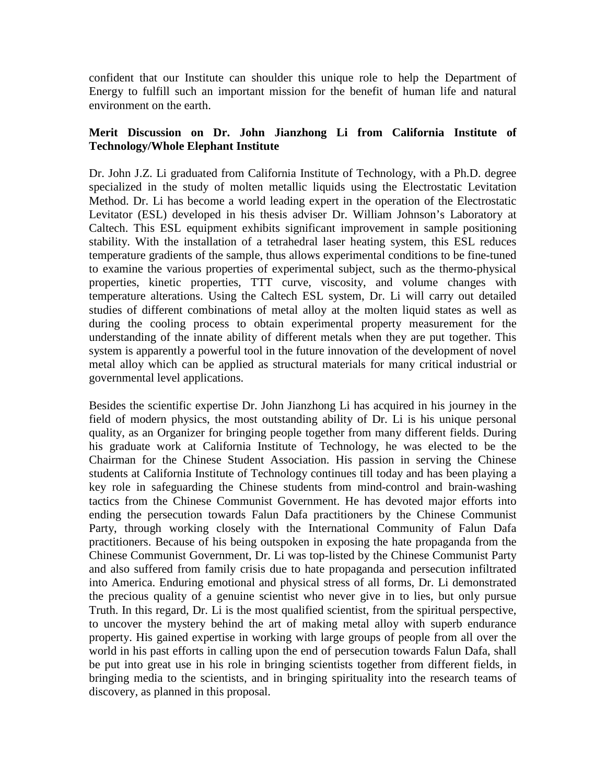confident that our Institute can shoulder this unique role to help the Department of Energy to fulfill such an important mission for the benefit of human life and natural environment on the earth.

### **Merit Discussion on Dr. John Jianzhong Li from California Institute of Technology/Whole Elephant Institute**

Dr. John J.Z. Li graduated from California Institute of Technology, with a Ph.D. degree specialized in the study of molten metallic liquids using the Electrostatic Levitation Method. Dr. Li has become a world leading expert in the operation of the Electrostatic Levitator (ESL) developed in his thesis adviser Dr. William Johnson's Laboratory at Caltech. This ESL equipment exhibits significant improvement in sample positioning stability. With the installation of a tetrahedral laser heating system, this ESL reduces temperature gradients of the sample, thus allows experimental conditions to be fine-tuned to examine the various properties of experimental subject, such as the thermo-physical properties, kinetic properties, TTT curve, viscosity, and volume changes with temperature alterations. Using the Caltech ESL system, Dr. Li will carry out detailed studies of different combinations of metal alloy at the molten liquid states as well as during the cooling process to obtain experimental property measurement for the understanding of the innate ability of different metals when they are put together. This system is apparently a powerful tool in the future innovation of the development of novel metal alloy which can be applied as structural materials for many critical industrial or governmental level applications.

Besides the scientific expertise Dr. John Jianzhong Li has acquired in his journey in the field of modern physics, the most outstanding ability of Dr. Li is his unique personal quality, as an Organizer for bringing people together from many different fields. During his graduate work at California Institute of Technology, he was elected to be the Chairman for the Chinese Student Association. His passion in serving the Chinese students at California Institute of Technology continues till today and has been playing a key role in safeguarding the Chinese students from mind-control and brain-washing tactics from the Chinese Communist Government. He has devoted major efforts into ending the persecution towards Falun Dafa practitioners by the Chinese Communist Party, through working closely with the International Community of Falun Dafa practitioners. Because of his being outspoken in exposing the hate propaganda from the Chinese Communist Government, Dr. Li was top-listed by the Chinese Communist Party and also suffered from family crisis due to hate propaganda and persecution infiltrated into America. Enduring emotional and physical stress of all forms, Dr. Li demonstrated the precious quality of a genuine scientist who never give in to lies, but only pursue Truth. In this regard, Dr. Li is the most qualified scientist, from the spiritual perspective, to uncover the mystery behind the art of making metal alloy with superb endurance property. His gained expertise in working with large groups of people from all over the world in his past efforts in calling upon the end of persecution towards Falun Dafa, shall be put into great use in his role in bringing scientists together from different fields, in bringing media to the scientists, and in bringing spirituality into the research teams of discovery, as planned in this proposal.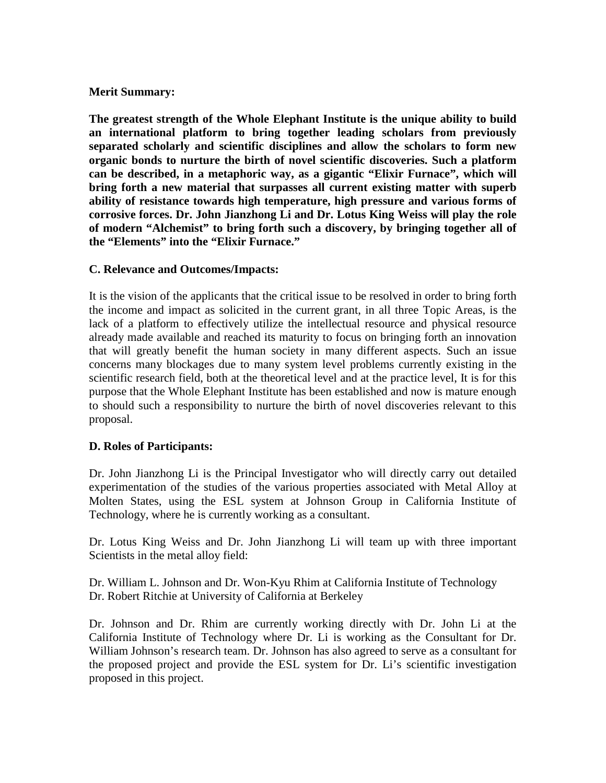### **Merit Summary:**

**The greatest strength of the Whole Elephant Institute is the unique ability to build an international platform to bring together leading scholars from previously separated scholarly and scientific disciplines and allow the scholars to form new organic bonds to nurture the birth of novel scientific discoveries. Such a platform can be described, in a metaphoric way, as a gigantic "Elixir Furnace", which will bring forth a new material that surpasses all current existing matter with superb ability of resistance towards high temperature, high pressure and various forms of corrosive forces. Dr. John Jianzhong Li and Dr. Lotus King Weiss will play the role of modern "Alchemist" to bring forth such a discovery, by bringing together all of the "Elements" into the "Elixir Furnace."**

### **C. Relevance and Outcomes/Impacts:**

It is the vision of the applicants that the critical issue to be resolved in order to bring forth the income and impact as solicited in the current grant, in all three Topic Areas, is the lack of a platform to effectively utilize the intellectual resource and physical resource already made available and reached its maturity to focus on bringing forth an innovation that will greatly benefit the human society in many different aspects. Such an issue concerns many blockages due to many system level problems currently existing in the scientific research field, both at the theoretical level and at the practice level, It is for this purpose that the Whole Elephant Institute has been established and now is mature enough to should such a responsibility to nurture the birth of novel discoveries relevant to this proposal.

#### **D. Roles of Participants:**

Dr. John Jianzhong Li is the Principal Investigator who will directly carry out detailed experimentation of the studies of the various properties associated with Metal Alloy at Molten States, using the ESL system at Johnson Group in California Institute of Technology, where he is currently working as a consultant.

Dr. Lotus King Weiss and Dr. John Jianzhong Li will team up with three important Scientists in the metal alloy field:

Dr. William L. Johnson and Dr. Won-Kyu Rhim at California Institute of Technology Dr. Robert Ritchie at University of California at Berkeley

Dr. Johnson and Dr. Rhim are currently working directly with Dr. John Li at the California Institute of Technology where Dr. Li is working as the Consultant for Dr. William Johnson's research team. Dr. Johnson has also agreed to serve as a consultant for the proposed project and provide the ESL system for Dr. Li's scientific investigation proposed in this project.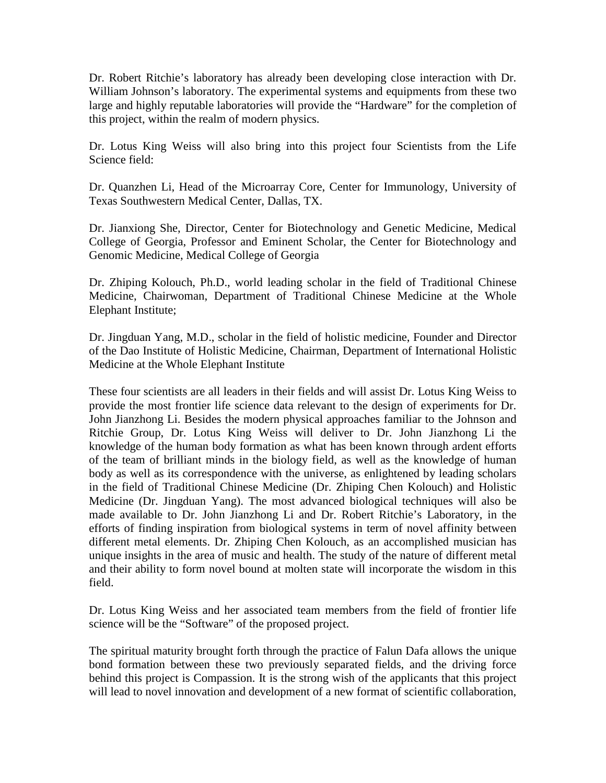Dr. Robert Ritchie's laboratory has already been developing close interaction with Dr. William Johnson's laboratory. The experimental systems and equipments from these two large and highly reputable laboratories will provide the "Hardware" for the completion of this project, within the realm of modern physics.

Dr. Lotus King Weiss will also bring into this project four Scientists from the Life Science field:

Dr. Quanzhen Li, Head of the Microarray Core, Center for Immunology, University of Texas Southwestern Medical Center, Dallas, TX.

Dr. Jianxiong She, Director, Center for Biotechnology and Genetic Medicine, Medical College of Georgia, Professor and Eminent Scholar, the Center for Biotechnology and Genomic Medicine, Medical College of Georgia

Dr. Zhiping Kolouch, Ph.D., world leading scholar in the field of Traditional Chinese Medicine, Chairwoman, Department of Traditional Chinese Medicine at the Whole Elephant Institute;

Dr. Jingduan Yang, M.D., scholar in the field of holistic medicine, Founder and Director of the Dao Institute of Holistic Medicine, Chairman, Department of International Holistic Medicine at the Whole Elephant Institute

These four scientists are all leaders in their fields and will assist Dr. Lotus King Weiss to provide the most frontier life science data relevant to the design of experiments for Dr. John Jianzhong Li. Besides the modern physical approaches familiar to the Johnson and Ritchie Group, Dr. Lotus King Weiss will deliver to Dr. John Jianzhong Li the knowledge of the human body formation as what has been known through ardent efforts of the team of brilliant minds in the biology field, as well as the knowledge of human body as well as its correspondence with the universe, as enlightened by leading scholars in the field of Traditional Chinese Medicine (Dr. Zhiping Chen Kolouch) and Holistic Medicine (Dr. Jingduan Yang). The most advanced biological techniques will also be made available to Dr. John Jianzhong Li and Dr. Robert Ritchie's Laboratory, in the efforts of finding inspiration from biological systems in term of novel affinity between different metal elements. Dr. Zhiping Chen Kolouch, as an accomplished musician has unique insights in the area of music and health. The study of the nature of different metal and their ability to form novel bound at molten state will incorporate the wisdom in this field.

Dr. Lotus King Weiss and her associated team members from the field of frontier life science will be the "Software" of the proposed project.

The spiritual maturity brought forth through the practice of Falun Dafa allows the unique bond formation between these two previously separated fields, and the driving force behind this project is Compassion. It is the strong wish of the applicants that this project will lead to novel innovation and development of a new format of scientific collaboration,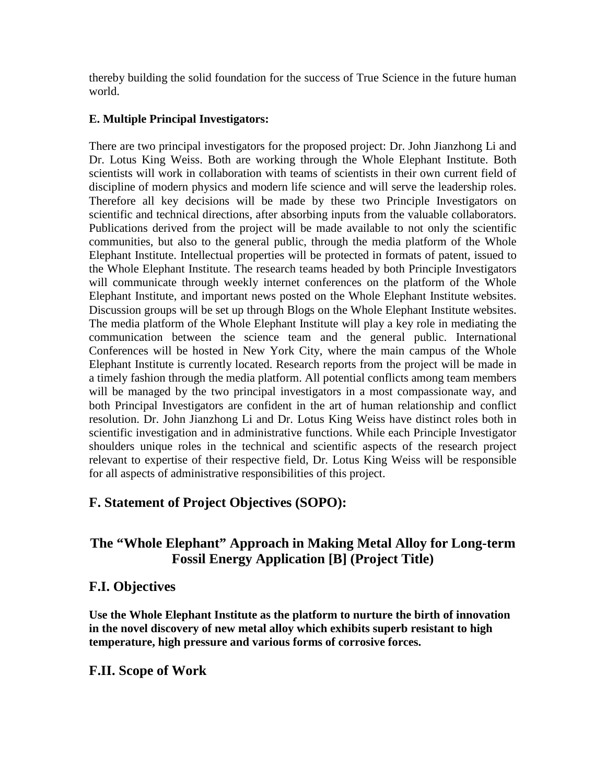thereby building the solid foundation for the success of True Science in the future human world.

# **E. Multiple Principal Investigators:**

There are two principal investigators for the proposed project: Dr. John Jianzhong Li and Dr. Lotus King Weiss. Both are working through the Whole Elephant Institute. Both scientists will work in collaboration with teams of scientists in their own current field of discipline of modern physics and modern life science and will serve the leadership roles. Therefore all key decisions will be made by these two Principle Investigators on scientific and technical directions, after absorbing inputs from the valuable collaborators. Publications derived from the project will be made available to not only the scientific communities, but also to the general public, through the media platform of the Whole Elephant Institute. Intellectual properties will be protected in formats of patent, issued to the Whole Elephant Institute. The research teams headed by both Principle Investigators will communicate through weekly internet conferences on the platform of the Whole Elephant Institute, and important news posted on the Whole Elephant Institute websites. Discussion groups will be set up through Blogs on the Whole Elephant Institute websites. The media platform of the Whole Elephant Institute will play a key role in mediating the communication between the science team and the general public. International Conferences will be hosted in New York City, where the main campus of the Whole Elephant Institute is currently located. Research reports from the project will be made in a timely fashion through the media platform. All potential conflicts among team members will be managed by the two principal investigators in a most compassionate way, and both Principal Investigators are confident in the art of human relationship and conflict resolution. Dr. John Jianzhong Li and Dr. Lotus King Weiss have distinct roles both in scientific investigation and in administrative functions. While each Principle Investigator shoulders unique roles in the technical and scientific aspects of the research project relevant to expertise of their respective field, Dr. Lotus King Weiss will be responsible for all aspects of administrative responsibilities of this project.

# **F. Statement of Project Objectives (SOPO):**

# **The "Whole Elephant" Approach in Making Metal Alloy for Long-term Fossil Energy Application [B] (Project Title)**

# **F.I. Objectives**

**Use the Whole Elephant Institute as the platform to nurture the birth of innovation in the novel discovery of new metal alloy which exhibits superb resistant to high temperature, high pressure and various forms of corrosive forces.**

# **F.II. Scope of Work**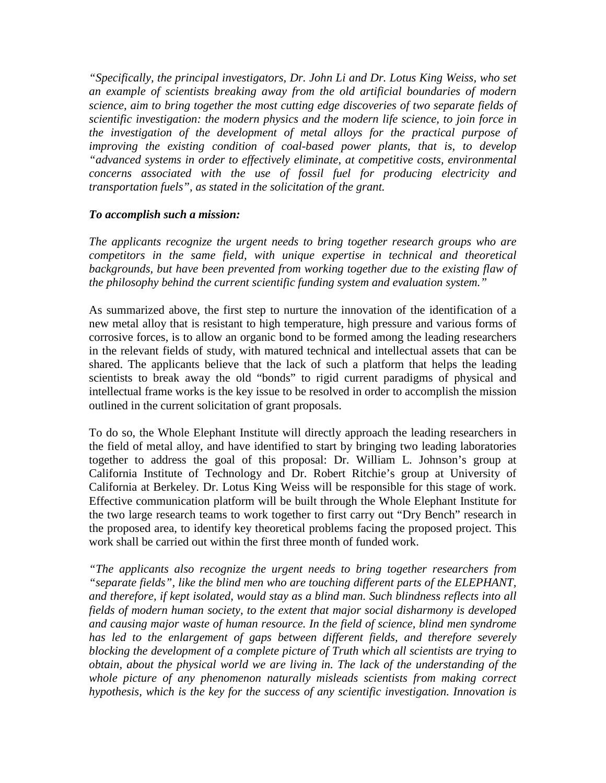*"Specifically, the principal investigators, Dr. John Li and Dr. Lotus King Weiss, who set an example of scientists breaking away from the old artificial boundaries of modern science, aim to bring together the most cutting edge discoveries of two separate fields of scientific investigation: the modern physics and the modern life science, to join force in the investigation of the development of metal alloys for the practical purpose of improving the existing condition of coal-based power plants, that is, to develop "advanced systems in order to effectively eliminate, at competitive costs, environmental concerns associated with the use of fossil fuel for producing electricity and transportation fuels", as stated in the solicitation of the grant.*

#### *To accomplish such a mission:*

*The applicants recognize the urgent needs to bring together research groups who are competitors in the same field, with unique expertise in technical and theoretical backgrounds, but have been prevented from working together due to the existing flaw of the philosophy behind the current scientific funding system and evaluation system."*

As summarized above, the first step to nurture the innovation of the identification of a new metal alloy that is resistant to high temperature, high pressure and various forms of corrosive forces, is to allow an organic bond to be formed among the leading researchers in the relevant fields of study, with matured technical and intellectual assets that can be shared. The applicants believe that the lack of such a platform that helps the leading scientists to break away the old "bonds" to rigid current paradigms of physical and intellectual frame works is the key issue to be resolved in order to accomplish the mission outlined in the current solicitation of grant proposals.

To do so, the Whole Elephant Institute will directly approach the leading researchers in the field of metal alloy, and have identified to start by bringing two leading laboratories together to address the goal of this proposal: Dr. William L. Johnson's group at California Institute of Technology and Dr. Robert Ritchie's group at University of California at Berkeley. Dr. Lotus King Weiss will be responsible for this stage of work. Effective communication platform will be built through the Whole Elephant Institute for the two large research teams to work together to first carry out "Dry Bench" research in the proposed area, to identify key theoretical problems facing the proposed project. This work shall be carried out within the first three month of funded work.

*"The applicants also recognize the urgent needs to bring together researchers from "separate fields", like the blind men who are touching different parts of the ELEPHANT, and therefore, if kept isolated, would stay as a blind man. Such blindness reflects into all fields of modern human society, to the extent that major social disharmony is developed and causing major waste of human resource. In the field of science, blind men syndrome has led to the enlargement of gaps between different fields, and therefore severely blocking the development of a complete picture of Truth which all scientists are trying to obtain, about the physical world we are living in. The lack of the understanding of the whole picture of any phenomenon naturally misleads scientists from making correct hypothesis, which is the key for the success of any scientific investigation. Innovation is*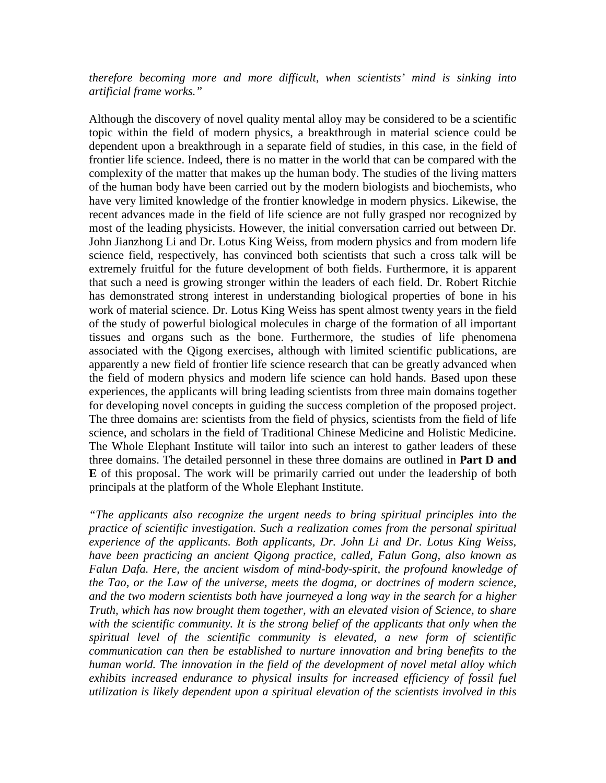*therefore becoming more and more difficult, when scientists' mind is sinking into artificial frame works."*

Although the discovery of novel quality mental alloy may be considered to be a scientific topic within the field of modern physics, a breakthrough in material science could be dependent upon a breakthrough in a separate field of studies, in this case, in the field of frontier life science. Indeed, there is no matter in the world that can be compared with the complexity of the matter that makes up the human body. The studies of the living matters of the human body have been carried out by the modern biologists and biochemists, who have very limited knowledge of the frontier knowledge in modern physics. Likewise, the recent advances made in the field of life science are not fully grasped nor recognized by most of the leading physicists. However, the initial conversation carried out between Dr. John Jianzhong Li and Dr. Lotus King Weiss, from modern physics and from modern life science field, respectively, has convinced both scientists that such a cross talk will be extremely fruitful for the future development of both fields. Furthermore, it is apparent that such a need is growing stronger within the leaders of each field. Dr. Robert Ritchie has demonstrated strong interest in understanding biological properties of bone in his work of material science. Dr. Lotus King Weiss has spent almost twenty years in the field of the study of powerful biological molecules in charge of the formation of all important tissues and organs such as the bone. Furthermore, the studies of life phenomena associated with the Qigong exercises, although with limited scientific publications, are apparently a new field of frontier life science research that can be greatly advanced when the field of modern physics and modern life science can hold hands. Based upon these experiences, the applicants will bring leading scientists from three main domains together for developing novel concepts in guiding the success completion of the proposed project. The three domains are: scientists from the field of physics, scientists from the field of life science, and scholars in the field of Traditional Chinese Medicine and Holistic Medicine. The Whole Elephant Institute will tailor into such an interest to gather leaders of these three domains. The detailed personnel in these three domains are outlined in **Part D and E** of this proposal. The work will be primarily carried out under the leadership of both principals at the platform of the Whole Elephant Institute.

*"The applicants also recognize the urgent needs to bring spiritual principles into the practice of scientific investigation. Such a realization comes from the personal spiritual experience of the applicants. Both applicants, Dr. John Li and Dr. Lotus King Weiss, have been practicing an ancient Qigong practice, called, Falun Gong, also known as Falun Dafa. Here, the ancient wisdom of mind-body-spirit, the profound knowledge of the Tao, or the Law of the universe, meets the dogma, or doctrines of modern science, and the two modern scientists both have journeyed a long way in the search for a higher Truth, which has now brought them together, with an elevated vision of Science, to share with the scientific community. It is the strong belief of the applicants that only when the spiritual level of the scientific community is elevated, a new form of scientific communication can then be established to nurture innovation and bring benefits to the human world. The innovation in the field of the development of novel metal alloy which*  exhibits increased endurance to physical insults for increased efficiency of fossil fuel *utilization is likely dependent upon a spiritual elevation of the scientists involved in this*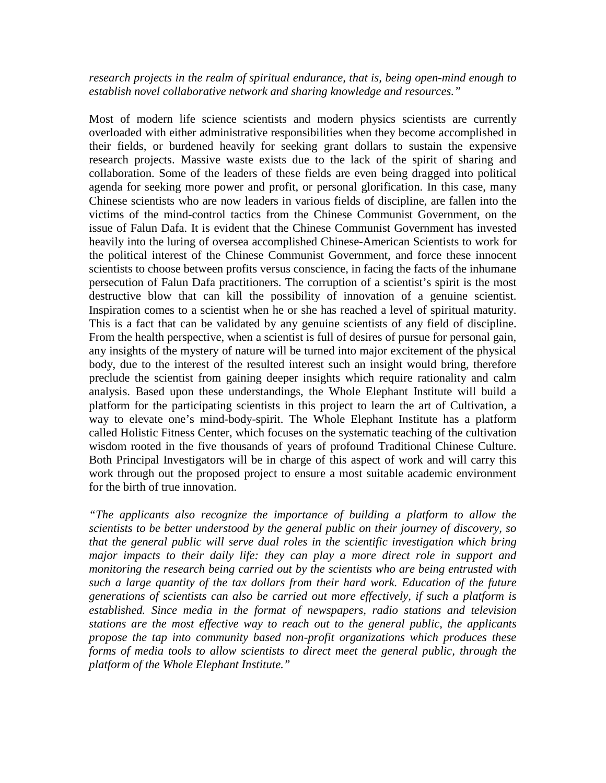#### *research projects in the realm of spiritual endurance, that is, being open-mind enough to establish novel collaborative network and sharing knowledge and resources."*

Most of modern life science scientists and modern physics scientists are currently overloaded with either administrative responsibilities when they become accomplished in their fields, or burdened heavily for seeking grant dollars to sustain the expensive research projects. Massive waste exists due to the lack of the spirit of sharing and collaboration. Some of the leaders of these fields are even being dragged into political agenda for seeking more power and profit, or personal glorification. In this case, many Chinese scientists who are now leaders in various fields of discipline, are fallen into the victims of the mind-control tactics from the Chinese Communist Government, on the issue of Falun Dafa. It is evident that the Chinese Communist Government has invested heavily into the luring of oversea accomplished Chinese-American Scientists to work for the political interest of the Chinese Communist Government, and force these innocent scientists to choose between profits versus conscience, in facing the facts of the inhumane persecution of Falun Dafa practitioners. The corruption of a scientist's spirit is the most destructive blow that can kill the possibility of innovation of a genuine scientist. Inspiration comes to a scientist when he or she has reached a level of spiritual maturity. This is a fact that can be validated by any genuine scientists of any field of discipline. From the health perspective, when a scientist is full of desires of pursue for personal gain, any insights of the mystery of nature will be turned into major excitement of the physical body, due to the interest of the resulted interest such an insight would bring, therefore preclude the scientist from gaining deeper insights which require rationality and calm analysis. Based upon these understandings, the Whole Elephant Institute will build a platform for the participating scientists in this project to learn the art of Cultivation, a way to elevate one's mind-body-spirit. The Whole Elephant Institute has a platform called Holistic Fitness Center, which focuses on the systematic teaching of the cultivation wisdom rooted in the five thousands of years of profound Traditional Chinese Culture. Both Principal Investigators will be in charge of this aspect of work and will carry this work through out the proposed project to ensure a most suitable academic environment for the birth of true innovation.

*"The applicants also recognize the importance of building a platform to allow the scientists to be better understood by the general public on their journey of discovery, so that the general public will serve dual roles in the scientific investigation which bring major impacts to their daily life: they can play a more direct role in support and monitoring the research being carried out by the scientists who are being entrusted with such a large quantity of the tax dollars from their hard work. Education of the future generations of scientists can also be carried out more effectively, if such a platform is established. Since media in the format of newspapers, radio stations and television stations are the most effective way to reach out to the general public, the applicants propose the tap into community based non-profit organizations which produces these forms of media tools to allow scientists to direct meet the general public, through the platform of the Whole Elephant Institute."*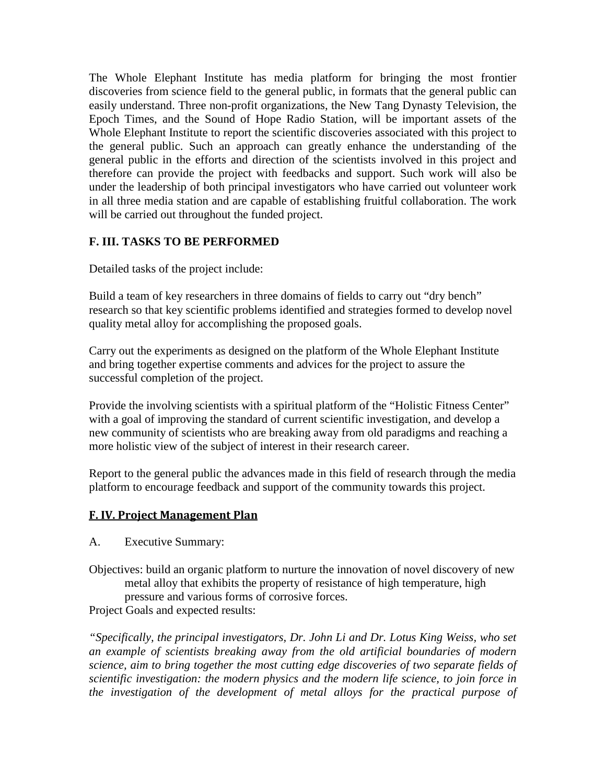The Whole Elephant Institute has media platform for bringing the most frontier discoveries from science field to the general public, in formats that the general public can easily understand. Three non-profit organizations, the New Tang Dynasty Television, the Epoch Times, and the Sound of Hope Radio Station, will be important assets of the Whole Elephant Institute to report the scientific discoveries associated with this project to the general public. Such an approach can greatly enhance the understanding of the general public in the efforts and direction of the scientists involved in this project and therefore can provide the project with feedbacks and support. Such work will also be under the leadership of both principal investigators who have carried out volunteer work in all three media station and are capable of establishing fruitful collaboration. The work will be carried out throughout the funded project.

# **F. III. TASKS TO BE PERFORMED**

Detailed tasks of the project include:

Build a team of key researchers in three domains of fields to carry out "dry bench" research so that key scientific problems identified and strategies formed to develop novel quality metal alloy for accomplishing the proposed goals.

Carry out the experiments as designed on the platform of the Whole Elephant Institute and bring together expertise comments and advices for the project to assure the successful completion of the project.

Provide the involving scientists with a spiritual platform of the "Holistic Fitness Center" with a goal of improving the standard of current scientific investigation, and develop a new community of scientists who are breaking away from old paradigms and reaching a more holistic view of the subject of interest in their research career.

Report to the general public the advances made in this field of research through the media platform to encourage feedback and support of the community towards this project.

## **F. IV. Project Management Plan**

- A. Executive Summary:
- Objectives: build an organic platform to nurture the innovation of novel discovery of new metal alloy that exhibits the property of resistance of high temperature, high pressure and various forms of corrosive forces. Project Goals and expected results:

*"Specifically, the principal investigators, Dr. John Li and Dr. Lotus King Weiss, who set an example of scientists breaking away from the old artificial boundaries of modern science, aim to bring together the most cutting edge discoveries of two separate fields of scientific investigation: the modern physics and the modern life science, to join force in the investigation of the development of metal alloys for the practical purpose of*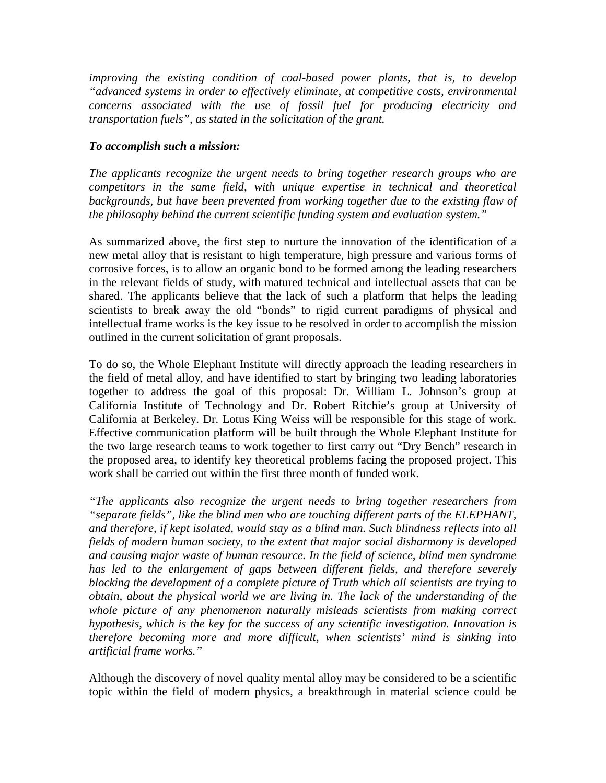*improving the existing condition of coal-based power plants, that is, to develop "advanced systems in order to effectively eliminate, at competitive costs, environmental concerns associated with the use of fossil fuel for producing electricity and transportation fuels", as stated in the solicitation of the grant.*

### *To accomplish such a mission:*

*The applicants recognize the urgent needs to bring together research groups who are competitors in the same field, with unique expertise in technical and theoretical*  backgrounds, but have been prevented from working together due to the existing flaw of *the philosophy behind the current scientific funding system and evaluation system."*

As summarized above, the first step to nurture the innovation of the identification of a new metal alloy that is resistant to high temperature, high pressure and various forms of corrosive forces, is to allow an organic bond to be formed among the leading researchers in the relevant fields of study, with matured technical and intellectual assets that can be shared. The applicants believe that the lack of such a platform that helps the leading scientists to break away the old "bonds" to rigid current paradigms of physical and intellectual frame works is the key issue to be resolved in order to accomplish the mission outlined in the current solicitation of grant proposals.

To do so, the Whole Elephant Institute will directly approach the leading researchers in the field of metal alloy, and have identified to start by bringing two leading laboratories together to address the goal of this proposal: Dr. William L. Johnson's group at California Institute of Technology and Dr. Robert Ritchie's group at University of California at Berkeley. Dr. Lotus King Weiss will be responsible for this stage of work. Effective communication platform will be built through the Whole Elephant Institute for the two large research teams to work together to first carry out "Dry Bench" research in the proposed area, to identify key theoretical problems facing the proposed project. This work shall be carried out within the first three month of funded work.

*"The applicants also recognize the urgent needs to bring together researchers from "separate fields", like the blind men who are touching different parts of the ELEPHANT, and therefore, if kept isolated, would stay as a blind man. Such blindness reflects into all fields of modern human society, to the extent that major social disharmony is developed and causing major waste of human resource. In the field of science, blind men syndrome*  has led to the enlargement of gaps between different fields, and therefore severely *blocking the development of a complete picture of Truth which all scientists are trying to obtain, about the physical world we are living in. The lack of the understanding of the whole picture of any phenomenon naturally misleads scientists from making correct hypothesis, which is the key for the success of any scientific investigation. Innovation is therefore becoming more and more difficult, when scientists' mind is sinking into artificial frame works."*

Although the discovery of novel quality mental alloy may be considered to be a scientific topic within the field of modern physics, a breakthrough in material science could be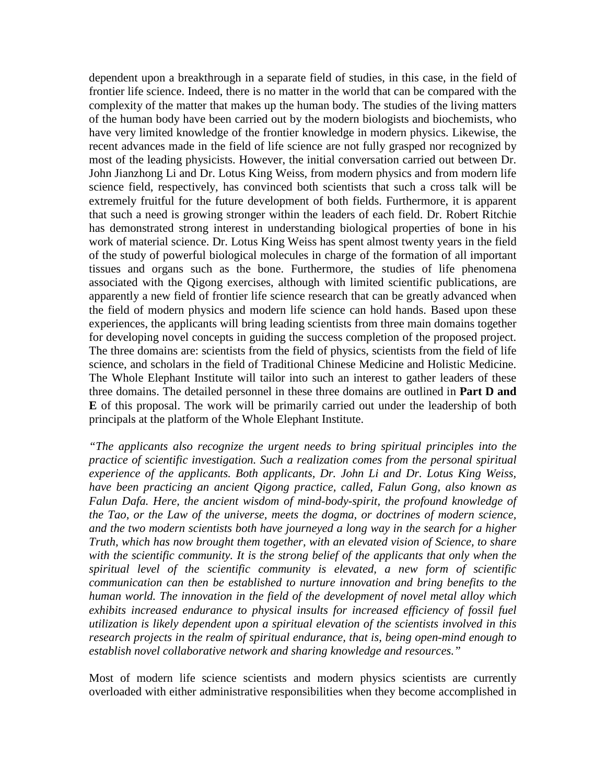dependent upon a breakthrough in a separate field of studies, in this case, in the field of frontier life science. Indeed, there is no matter in the world that can be compared with the complexity of the matter that makes up the human body. The studies of the living matters of the human body have been carried out by the modern biologists and biochemists, who have very limited knowledge of the frontier knowledge in modern physics. Likewise, the recent advances made in the field of life science are not fully grasped nor recognized by most of the leading physicists. However, the initial conversation carried out between Dr. John Jianzhong Li and Dr. Lotus King Weiss, from modern physics and from modern life science field, respectively, has convinced both scientists that such a cross talk will be extremely fruitful for the future development of both fields. Furthermore, it is apparent that such a need is growing stronger within the leaders of each field. Dr. Robert Ritchie has demonstrated strong interest in understanding biological properties of bone in his work of material science. Dr. Lotus King Weiss has spent almost twenty years in the field of the study of powerful biological molecules in charge of the formation of all important tissues and organs such as the bone. Furthermore, the studies of life phenomena associated with the Qigong exercises, although with limited scientific publications, are apparently a new field of frontier life science research that can be greatly advanced when the field of modern physics and modern life science can hold hands. Based upon these experiences, the applicants will bring leading scientists from three main domains together for developing novel concepts in guiding the success completion of the proposed project. The three domains are: scientists from the field of physics, scientists from the field of life science, and scholars in the field of Traditional Chinese Medicine and Holistic Medicine. The Whole Elephant Institute will tailor into such an interest to gather leaders of these three domains. The detailed personnel in these three domains are outlined in **Part D and E** of this proposal. The work will be primarily carried out under the leadership of both principals at the platform of the Whole Elephant Institute.

*"The applicants also recognize the urgent needs to bring spiritual principles into the practice of scientific investigation. Such a realization comes from the personal spiritual experience of the applicants. Both applicants, Dr. John Li and Dr. Lotus King Weiss, have been practicing an ancient Qigong practice, called, Falun Gong, also known as Falun Dafa. Here, the ancient wisdom of mind-body-spirit, the profound knowledge of the Tao, or the Law of the universe, meets the dogma, or doctrines of modern science, and the two modern scientists both have journeyed a long way in the search for a higher Truth, which has now brought them together, with an elevated vision of Science, to share*  with the scientific community. It is the strong belief of the applicants that only when the *spiritual level of the scientific community is elevated, a new form of scientific communication can then be established to nurture innovation and bring benefits to the human world. The innovation in the field of the development of novel metal alloy which exhibits increased endurance to physical insults for increased efficiency of fossil fuel utilization is likely dependent upon a spiritual elevation of the scientists involved in this research projects in the realm of spiritual endurance, that is, being open-mind enough to establish novel collaborative network and sharing knowledge and resources."*

Most of modern life science scientists and modern physics scientists are currently overloaded with either administrative responsibilities when they become accomplished in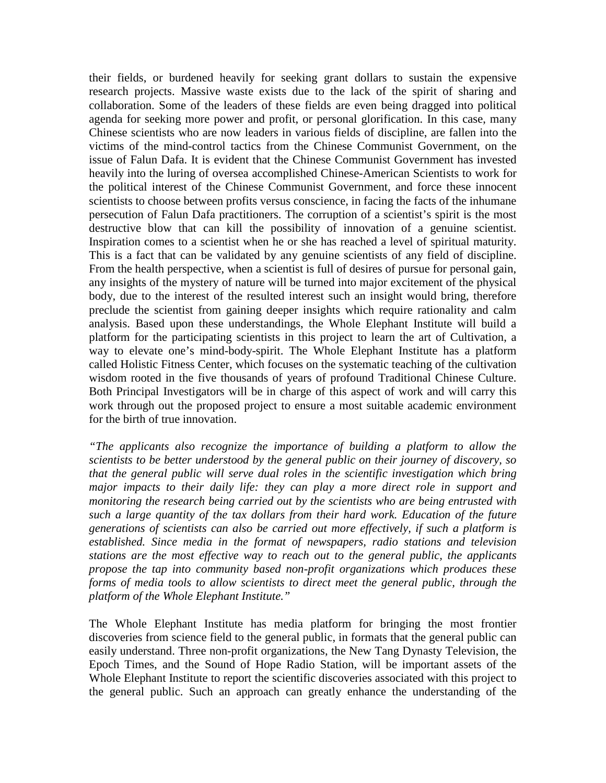their fields, or burdened heavily for seeking grant dollars to sustain the expensive research projects. Massive waste exists due to the lack of the spirit of sharing and collaboration. Some of the leaders of these fields are even being dragged into political agenda for seeking more power and profit, or personal glorification. In this case, many Chinese scientists who are now leaders in various fields of discipline, are fallen into the victims of the mind-control tactics from the Chinese Communist Government, on the issue of Falun Dafa. It is evident that the Chinese Communist Government has invested heavily into the luring of oversea accomplished Chinese-American Scientists to work for the political interest of the Chinese Communist Government, and force these innocent scientists to choose between profits versus conscience, in facing the facts of the inhumane persecution of Falun Dafa practitioners. The corruption of a scientist's spirit is the most destructive blow that can kill the possibility of innovation of a genuine scientist. Inspiration comes to a scientist when he or she has reached a level of spiritual maturity. This is a fact that can be validated by any genuine scientists of any field of discipline. From the health perspective, when a scientist is full of desires of pursue for personal gain, any insights of the mystery of nature will be turned into major excitement of the physical body, due to the interest of the resulted interest such an insight would bring, therefore preclude the scientist from gaining deeper insights which require rationality and calm analysis. Based upon these understandings, the Whole Elephant Institute will build a platform for the participating scientists in this project to learn the art of Cultivation, a way to elevate one's mind-body-spirit. The Whole Elephant Institute has a platform called Holistic Fitness Center, which focuses on the systematic teaching of the cultivation wisdom rooted in the five thousands of years of profound Traditional Chinese Culture. Both Principal Investigators will be in charge of this aspect of work and will carry this work through out the proposed project to ensure a most suitable academic environment for the birth of true innovation.

*"The applicants also recognize the importance of building a platform to allow the scientists to be better understood by the general public on their journey of discovery, so that the general public will serve dual roles in the scientific investigation which bring major impacts to their daily life: they can play a more direct role in support and monitoring the research being carried out by the scientists who are being entrusted with such a large quantity of the tax dollars from their hard work. Education of the future generations of scientists can also be carried out more effectively, if such a platform is established. Since media in the format of newspapers, radio stations and television stations are the most effective way to reach out to the general public, the applicants propose the tap into community based non-profit organizations which produces these forms of media tools to allow scientists to direct meet the general public, through the platform of the Whole Elephant Institute."*

The Whole Elephant Institute has media platform for bringing the most frontier discoveries from science field to the general public, in formats that the general public can easily understand. Three non-profit organizations, the New Tang Dynasty Television, the Epoch Times, and the Sound of Hope Radio Station, will be important assets of the Whole Elephant Institute to report the scientific discoveries associated with this project to the general public. Such an approach can greatly enhance the understanding of the